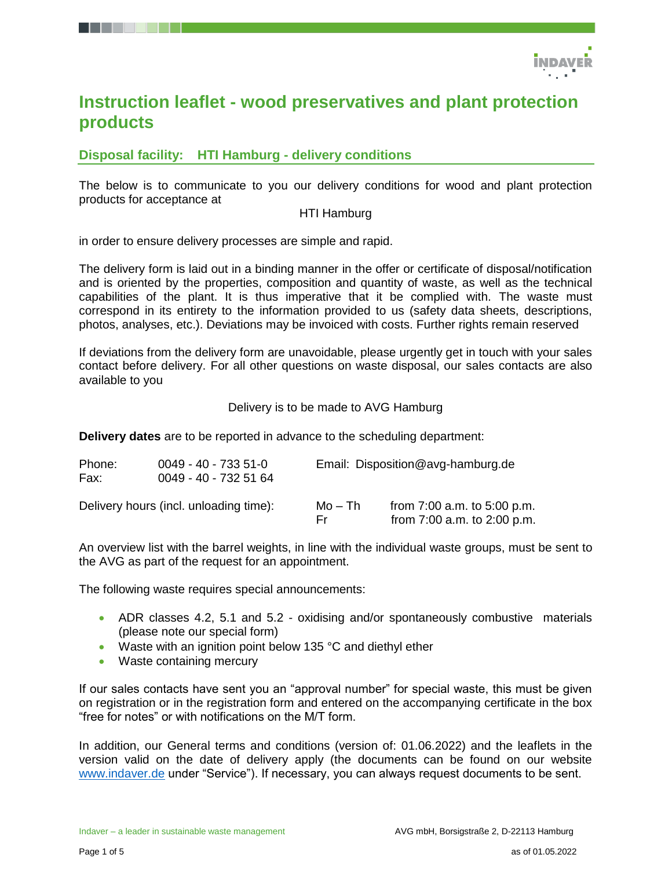

# **Instruction leaflet - wood preservatives and plant protection products**

# **Disposal facility: HTI Hamburg - delivery conditions**

The below is to communicate to you our delivery conditions for wood and plant protection products for acceptance at

#### HTI Hamburg

in order to ensure delivery processes are simple and rapid.

The delivery form is laid out in a binding manner in the offer or certificate of disposal/notification and is oriented by the properties, composition and quantity of waste, as well as the technical capabilities of the plant. It is thus imperative that it be complied with. The waste must correspond in its entirety to the information provided to us (safety data sheets, descriptions, photos, analyses, etc.). Deviations may be invoiced with costs. Further rights remain reserved

If deviations from the delivery form are unavoidable, please urgently get in touch with your sales contact before delivery. For all other questions on waste disposal, our sales contacts are also available to you

#### Delivery is to be made to AVG Hamburg

**Delivery dates** are to be reported in advance to the scheduling department:

| Phone:<br>Fax: | $0049 - 40 - 7335 - 51 - 0$<br>0049 - 40 - 732 51 64 |                | Email: Disposition@avg-hamburg.de                              |  |  |
|----------------|------------------------------------------------------|----------------|----------------------------------------------------------------|--|--|
|                | Delivery hours (incl. unloading time):               | Mo – Th<br>Er. | from $7:00$ a.m. to $5:00$ p.m.<br>from 7:00 a.m. to 2:00 p.m. |  |  |

An overview list with the barrel weights, in line with the individual waste groups, must be sent to the AVG as part of the request for an appointment.

The following waste requires special announcements:

- ADR classes 4.2, 5.1 and 5.2 oxidising and/or spontaneously combustive materials (please note our special form)
- Waste with an ignition point below 135 °C and diethyl ether
- Waste containing mercury

If our sales contacts have sent you an "approval number" for special waste, this must be given on registration or in the registration form and entered on the accompanying certificate in the box "free for notes" or with notifications on the M/T form.

In addition, our General terms and conditions (version of: 01.06.2022) and the leaflets in the version valid on the date of delivery apply (the documents can be found on our website [www.indaver.de](http://www.indaver.de/) under "Service"). If necessary, you can always request documents to be sent.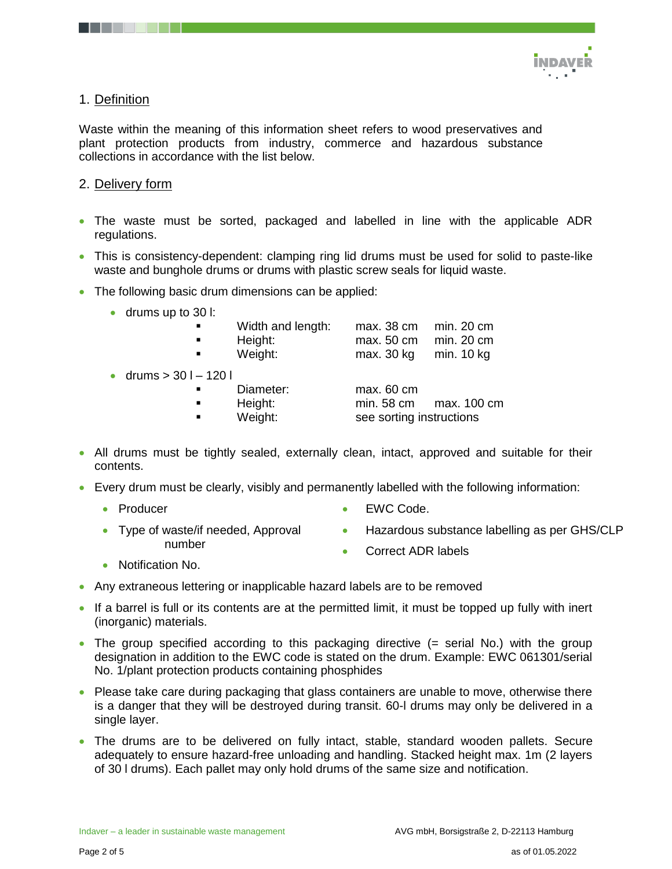

# 1. Definition

Waste within the meaning of this information sheet refers to wood preservatives and plant protection products from industry, commerce and hazardous substance collections in accordance with the list below.

## 2. Delivery form

- The waste must be sorted, packaged and labelled in line with the applicable ADR regulations.
- This is consistency-dependent: clamping ring lid drums must be used for solid to paste-like waste and bunghole drums or drums with plastic screw seals for liquid waste.
- The following basic drum dimensions can be applied:
	- drums up to 30 l:

| $\blacksquare$<br>٠<br>$\blacksquare$ | Width and length:<br>Height:<br>Weight: | max. 38 cm<br>max. 50 cm<br>max. 30 kg | min. 20 cm<br>min. 20 cm<br>min. 10 kg |
|---------------------------------------|-----------------------------------------|----------------------------------------|----------------------------------------|
| • drums $> 301 - 1201$                |                                         |                                        |                                        |
| $\blacksquare$                        | Diameter:                               | max. 60 cm                             |                                        |
| ٠                                     | Height:                                 | min. 58 cm                             | max. 100 cm                            |
| $\blacksquare$                        | Weight:                                 | see sorting instructions               |                                        |

- All drums must be tightly sealed, externally clean, intact, approved and suitable for their contents.
- Every drum must be clearly, visibly and permanently labelled with the following information:
	- Producer
- EWC Code.
- Type of waste/if needed, Approval number
	- **Hazardous substance labelling as per GHS/CLP**
	- Correct ADR labels
- Notification No.
- Any extraneous lettering or inapplicable hazard labels are to be removed
- If a barrel is full or its contents are at the permitted limit, it must be topped up fully with inert (inorganic) materials.
- The group specified according to this packaging directive (= serial No.) with the group designation in addition to the EWC code is stated on the drum. Example: EWC 061301/serial No. 1/plant protection products containing phosphides
- Please take care during packaging that glass containers are unable to move, otherwise there is a danger that they will be destroyed during transit. 60-l drums may only be delivered in a single layer.
- The drums are to be delivered on fully intact, stable, standard wooden pallets. Secure adequately to ensure hazard-free unloading and handling. Stacked height max. 1m (2 layers of 30 l drums). Each pallet may only hold drums of the same size and notification.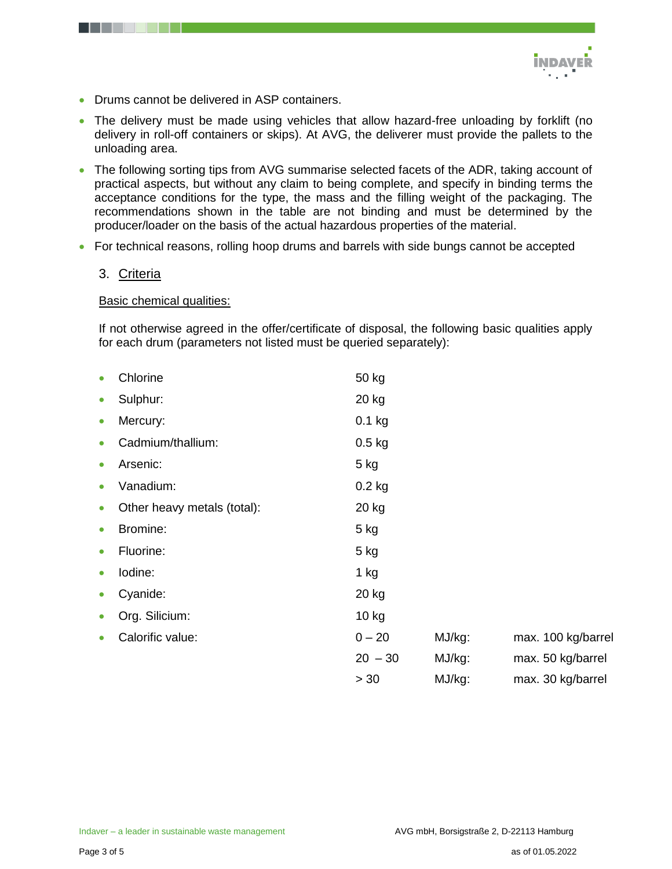

- Drums cannot be delivered in ASP containers.
- The delivery must be made using vehicles that allow hazard-free unloading by forklift (no delivery in roll-off containers or skips). At AVG, the deliverer must provide the pallets to the unloading area.
- The following sorting tips from AVG summarise selected facets of the ADR, taking account of practical aspects, but without any claim to being complete, and specify in binding terms the acceptance conditions for the type, the mass and the filling weight of the packaging. The recommendations shown in the table are not binding and must be determined by the producer/loader on the basis of the actual hazardous properties of the material.
- For technical reasons, rolling hoop drums and barrels with side bungs cannot be accepted

#### 3. Criteria

#### **Basic chemical qualities:**

If not otherwise agreed in the offer/certificate of disposal, the following basic qualities apply for each drum (parameters not listed must be queried separately):

|           | Chlorine                    | 50 kg     |        |                    |
|-----------|-----------------------------|-----------|--------|--------------------|
| $\bullet$ | Sulphur:                    | 20 kg     |        |                    |
| $\bullet$ | Mercury:                    | $0.1$ kg  |        |                    |
| $\bullet$ | Cadmium/thallium:           | $0.5$ kg  |        |                    |
| $\bullet$ | Arsenic:                    | 5 kg      |        |                    |
| $\bullet$ | Vanadium:                   | $0.2$ kg  |        |                    |
| $\bullet$ | Other heavy metals (total): | 20 kg     |        |                    |
| $\bullet$ | Bromine:                    | $5$ kg    |        |                    |
| $\bullet$ | Fluorine:                   | $5$ kg    |        |                    |
| $\bullet$ | lodine:                     | $1$ kg    |        |                    |
| $\bullet$ | Cyanide:                    | 20 kg     |        |                    |
| $\bullet$ | Org. Silicium:              | 10 kg     |        |                    |
| $\bullet$ | Calorific value:            | $0 - 20$  | MJ/kg: | max. 100 kg/barrel |
|           |                             | $20 - 30$ | MJ/kg: | max. 50 kg/barrel  |
|           |                             | > 30      | MJ/kg: | max. 30 kg/barrel  |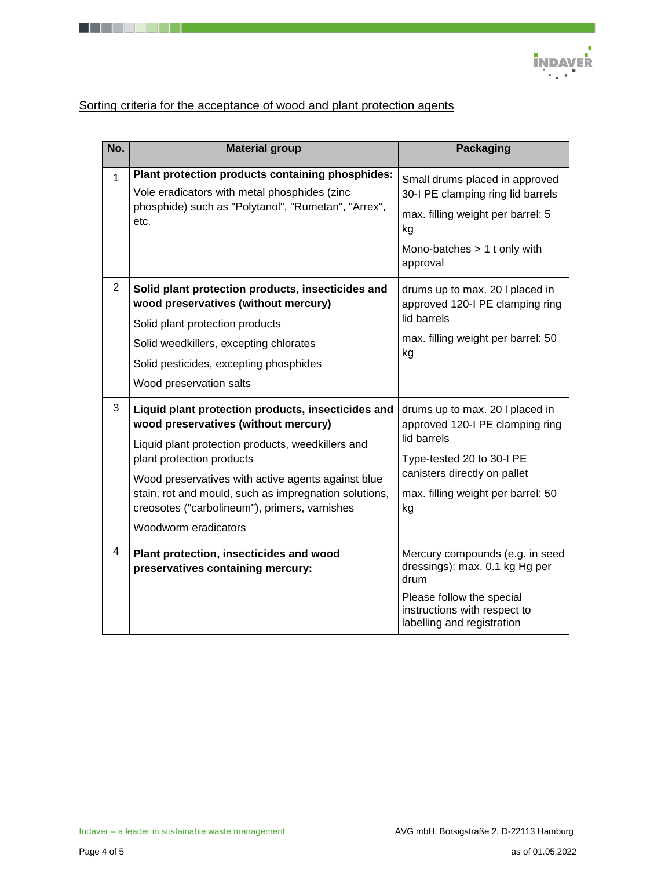

# Sorting criteria for the acceptance of wood and plant protection agents

| No.            | <b>Material group</b>                                                                                                                                                                                                                                                                                                                                                | <b>Packaging</b>                                                                                                                                                                           |
|----------------|----------------------------------------------------------------------------------------------------------------------------------------------------------------------------------------------------------------------------------------------------------------------------------------------------------------------------------------------------------------------|--------------------------------------------------------------------------------------------------------------------------------------------------------------------------------------------|
| $\mathbf{1}$   | Plant protection products containing phosphides:<br>Vole eradicators with metal phosphides (zinc<br>phosphide) such as "Polytanol", "Rumetan", "Arrex",<br>etc.                                                                                                                                                                                                      | Small drums placed in approved<br>30-I PE clamping ring lid barrels<br>max. filling weight per barrel: 5<br>kg<br>Mono-batches $> 1$ t only with<br>approval                               |
| $\overline{2}$ | Solid plant protection products, insecticides and<br>wood preservatives (without mercury)<br>Solid plant protection products<br>Solid weedkillers, excepting chlorates<br>Solid pesticides, excepting phosphides<br>Wood preservation salts                                                                                                                          | drums up to max. 20 I placed in<br>approved 120-I PE clamping ring<br>lid barrels<br>max. filling weight per barrel: 50<br>kg                                                              |
| 3              | Liquid plant protection products, insecticides and<br>wood preservatives (without mercury)<br>Liquid plant protection products, weedkillers and<br>plant protection products<br>Wood preservatives with active agents against blue<br>stain, rot and mould, such as impregnation solutions,<br>creosotes ("carbolineum"), primers, varnishes<br>Woodworm eradicators | drums up to max. 20 I placed in<br>approved 120-I PE clamping ring<br>lid barrels<br>Type-tested 20 to 30-I PE<br>canisters directly on pallet<br>max. filling weight per barrel: 50<br>kg |
| 4              | Plant protection, insecticides and wood<br>preservatives containing mercury:                                                                                                                                                                                                                                                                                         | Mercury compounds (e.g. in seed<br>dressings): max. 0.1 kg Hg per<br>drum<br>Please follow the special<br>instructions with respect to<br>labelling and registration                       |